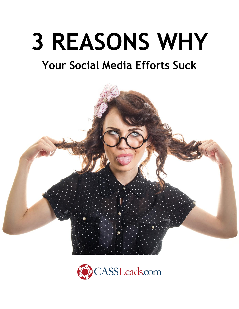# **3 REASONS WHY**

# **Your Social Media Efforts Suck**



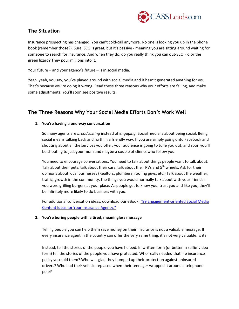

## **The Situation**

Insurance prospecting has changed. You can't cold-call anymore. No one is looking you up in the phone book (remember those?). Sure, SEO is great, but it's passive - meaning you are sitting around waiting for someone to search for insurance. And when they do, do you really think you can out-SEO Flo or the green lizard? They pour millions into it.

Your future – and your agency's future – is in social media.

Yeah, yeah, you say, you've played around with social media and it hasn't generated anything for you. That's because you're doing it wrong. Read these three reasons why your efforts are failing, and make some adjustments. You'll soon see positive results.

# **The Three Reasons Why Your Social Media Efforts Don't Work Well**

#### **1. You're having a one-way conversation**

So many agents are *broadcasting* instead of *engaging*. Social media is about being social. Being social means talking back and forth in a friendly way. If you are simply going onto Facebook and shouting about all the services you offer, your audience is going to tune you out, and soon you'll be shouting to just your mom and maybe a couple of clients who follow you.

You need to encourage conversations. You need to talk about things people want to talk about. Talk about their pets, talk about their cars, talk about their RVs and 5<sup>th</sup> wheels. Ask for their opinions about local businesses (Realtors, plumbers, roofing guys, etc.) Talk about the weather, traffic, growth in the community, the things you would normally talk about with your friends if you were grilling burgers at your place. As people get to know you, trust you and like you, they'll be infinitely more likely to do business with you.

For additional conversation ideas, download our eBook, "99 Engagement[-oriented Social Media](https://cassleads.com/99-ideas-ebook) [Content Ideas for Your Insura](https://cassleads.com/99-ideas-ebook)nce Agency."

#### **2. You're boring people with a tired, meaningless message**

Telling people you can help them save money on their insurance is not a valuable message. If every insurance agent in the country can offer the very same thing, it's not very valuable, is it?

Instead, tell the stories of the people you have helped. In written form (or better in selfie-video form) tell the stories of the people you have protected. Who really needed that life insurance policy you sold them? Who was glad they bumped up their protection against uninsured drivers? Who had their vehicle replaced when their teenager wrapped it around a telephone pole?